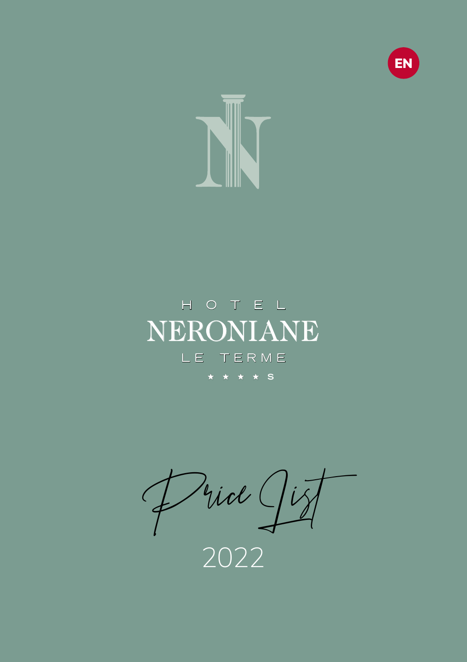



## NERONIANE HOTEL LE TERME H H H H H H H H **S**

Price List

2022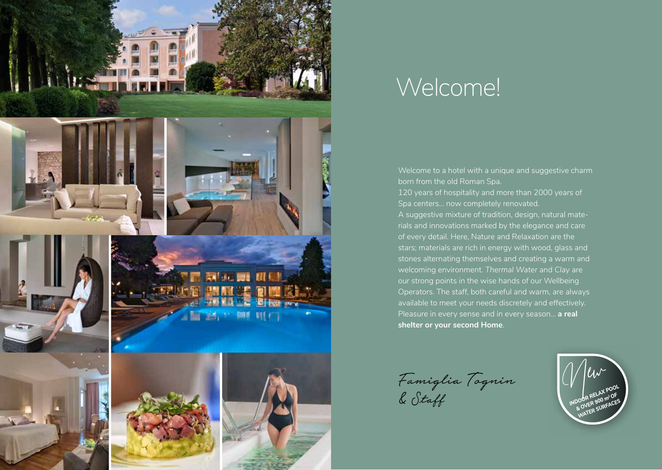

## Welcome!

Welcome to a hotel with a unique and suggestive charm born from the old Roman Spa. 120 years of hospitality and more than 2000 years of Spa centers... now completely renovated. A suggestive mixture of tradition, design, natural materials and innovations marked by the elegance and care of every detail. Here, Nature and Relaxation are the stars; materials are rich in energy with wood, glass and stones alternating themselves and creating a warm and welcoming environment. *Thermal Water* and *Clay* are our strong points in the wise hands of our Wellbeing Operators. The staff, both careful and warm, are always available to meet your needs discretely and effectively. Pleasure in every sense and in every season… **a real shelter or your second Home**.

Famiglia Tognin R Staff **INDOOR RELAX POOL** 

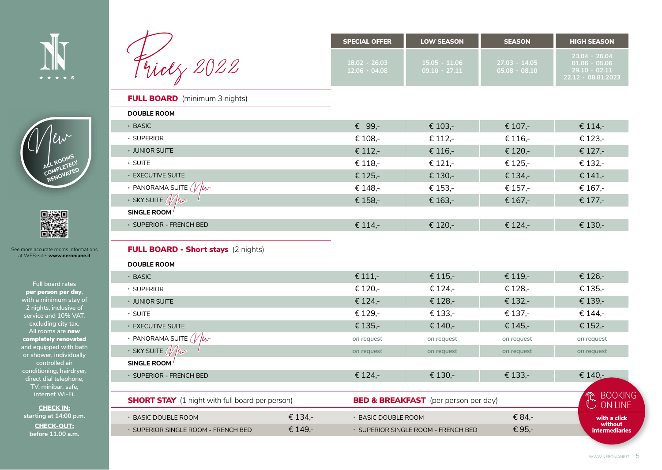



• SUPERIOR SINGLE ROOM - FRENCH BED  $\epsilon$  149,-

|                                                        |         | <b>SPECIAL OFFER</b>                       | <b>LOW SEASON</b>                               | <b>SEASON</b>                              | <b>HIGH SEASON</b>                                                                            |
|--------------------------------------------------------|---------|--------------------------------------------|-------------------------------------------------|--------------------------------------------|-----------------------------------------------------------------------------------------------|
| Fridz 2022                                             |         | $18.02 \cdot 26.03$<br>$12.06 \cdot 04.08$ | $15.05 \cdot 11.06$<br>$09.10 \cdot 27.11$      | $27.03 \cdot 14.05$<br>$05.08 \cdot 08.10$ | $23.04 \cdot 26.04$<br>$01.06 \cdot 05.06$<br>$29.10 \cdot 02.11$<br>$22.12 \cdot 08.01.2023$ |
| <b>FULL BOARD</b> (minimum 3 nights)                   |         |                                            |                                                 |                                            |                                                                                               |
| <b>DOUBLE ROOM</b>                                     |         |                                            |                                                 |                                            |                                                                                               |
| • BASIC                                                |         | € 99,-                                     | € 103,-                                         | € 107,-                                    | € 114,-                                                                                       |
| · SUPERIOR                                             |         | € 108,-                                    | € 112,-                                         | € 116,-                                    | € 123,-                                                                                       |
| • JUNIOR SUITE                                         |         | € 112,-                                    | € 116,-                                         | € 120,-                                    | € 127,-                                                                                       |
| · SUITE                                                |         | € 118,-                                    | € 121,-                                         | € 125,-                                    | € 132,-                                                                                       |
| <b>EXECUTIVE SUITE</b>                                 |         | € 125,-                                    | € 130,-                                         | € 134,-                                    | € 141,-                                                                                       |
| • PANORAMA SUITE $\sqrt{u}$                            |         | € 148,-                                    | € 153,-                                         | € 157,-                                    | € 167,-                                                                                       |
| $\cdot$ SKY SUITE $\frac{1}{u}$ $\frac{1}{u}$          |         | € 158,-                                    | € 163,-                                         | € 167,-                                    | € 177,-                                                                                       |
| <b>SINGLE ROOM</b>                                     |         |                                            |                                                 |                                            |                                                                                               |
| · SUPERIOR - FRENCH BED                                |         | € 114,-                                    | € 120,-                                         | € 124,-                                    | € 130,-                                                                                       |
| <b>FULL BOARD - Short stays</b> (2 nights)             |         |                                            |                                                 |                                            |                                                                                               |
| <b>DOUBLE ROOM</b>                                     |         |                                            |                                                 |                                            |                                                                                               |
| • BASIC                                                |         | € 111,-                                    | € 115,-                                         | € 119,-                                    | € 126,-                                                                                       |
| · SUPERIOR                                             |         | € 120,-                                    | € 124,-                                         | € 128,-                                    | € 135,-                                                                                       |
| • JUNIOR SUITE                                         |         | € 124,-                                    | € 128,-                                         | € 132,-                                    | € 139,-                                                                                       |
| · SUITE                                                |         | € 129,-                                    | € 133,-                                         | € 137,-                                    | € 144,-                                                                                       |
| <b>EXECUTIVE SUITE</b>                                 |         | € 135,-                                    | € 140,-                                         | € 145,-                                    | € 152,-                                                                                       |
| • PANORAMA SUITE $\sqrt{\mu}$                          |         | on request                                 | on request                                      | on request                                 | on request                                                                                    |
| $\cdot$ SKY SUITE $\frac{1}{u}$ $\frac{1}{u}$          |         | on request                                 | on request                                      | on request                                 | on request                                                                                    |
| <b>SINGLE ROOM</b>                                     |         |                                            |                                                 |                                            |                                                                                               |
| · SUPERIOR - FRENCH BED                                |         | € 124,-                                    | € 130,-                                         | € 133,-                                    | € 140,-                                                                                       |
| <b>SHORT STAY</b> (1 night with full board per person) |         |                                            | <b>BED &amp; BREAKFAST</b> (per person per day) |                                            | <b>BOOKING</b><br>$\mathbb{\hat{E}}$<br><b>ON LINE</b>                                        |
| • BASIC DOUBLE ROOM                                    | € 134,- | <b>• BASIC DOUBLE ROOM</b>                 |                                                 | € 84,-                                     | with a click                                                                                  |

• SUPERIOR SINGLE ROOM - FRENCH BED  $\epsilon$  95,-





See more accurate rooms informations at WEB-site: **www.neroniane.it**

> **Full board rates** per person per day**, with a minimum stay of 2 nights, inclusive of service and 10% VAT, excluding city tax. All rooms are** new completely renovated **and equipped with bath or shower, individually controlled air conditioning, hairdryer, direct dial telephone, TV, minibar, safe, internet Wi-Fi.**

CHECK IN: **starting at 14:00 p.m.** CHECK-OUT: **before 11.00 a.m.**

without intermediaries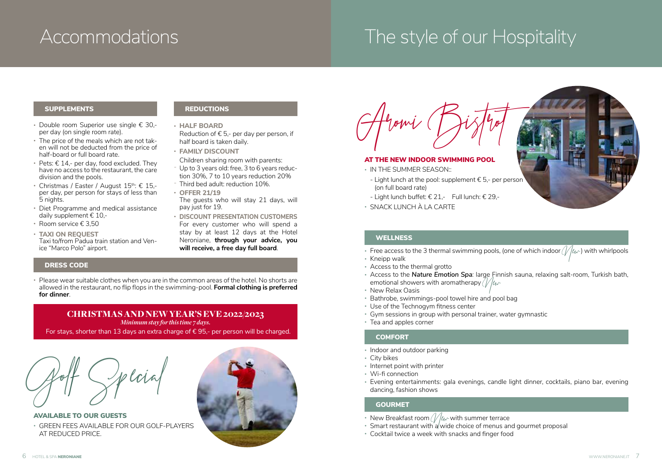## Accommodations The style of our Hospitality

#### SUPPLEMENTS

- Double room Superior use single € 30, per day (on single room rate).
- The price of the meals which are not taken will not be deducted from the price of half-board or full board rate.
- Pets:  $\epsilon$  14,- per day, food excluded. They have no access to the restaurant, the care division and the pools.
- Christmas / Easter / August 15<sup>th</sup>: € 15.per day, per person for stays of less than 5 nights.
- Diet Programme and medical assistance daily supplement € 10,-
- Room service € 3,50
- **TAXI ON REQUEST** Taxi to/from Padua train station and Venice "Marco Polo" airport.

#### **REDUCTIONS**

- **HALF BOARD**
- Reduction of € 5,- per day per person, if half board is taken daily.
- **FAMILY DISCOUNT**
- Children sharing room with parents:
- Up to 3 years old: free, 3 to 6 years reduction 30%, 7 to 10 years reduction 20%
- Third bed adult: reduction 10%.
- **OFFER 21/19**
- The quests who will stay 21 days, will pay just for 19.
- **DISCOUNT PRESENTATION CUSTOMERS** For every customer who will spend a stay by at least 12 days at the Hotel Neroniane, **through your advice, you will receive, a free day full board**.

#### DRESS CODE

• Please wear suitable clothes when you are in the common areas of the hotel. No shorts are allowed in the restaurant, no flip flops in the swimming-pool. **Formal clothing is preferred for dinner**.

#### CHRISTMAS AND NEW YEAR'S EVE 2022/2023

*Minimum stay for this time 7 days.* For stays, shorter than 13 days an extra charge of  $\epsilon$  95,- per person will be charged.



AVAILABLE TO OUR GUESTS • GREEN FEES AVAILABLE FOR OUR GOLF-PLAYERS AT REDUCED PRICE.



Aromi Bistrot

#### AT THE NEW INDOOR SWIMMING POOL

- IN THE SUMMER SEASON::
- Light lunch at the pool: supplement  $\epsilon$  5.- per person (on full board rate)
- Light lunch buffet:  $€$  21,- Full lunch:  $€$  29,-
- SNACK LUNCH À LA CARTE

#### **WELLNESS**

- Free access to the 3 thermal swimming pools, (one of which indoor  $//(\omega)$  with whirlpools
- Kneipp walk
- Access to the thermal grotto
- Access to the *Nature Emotion Spa:* large Finnish sauna, relaxing salt-room, Turkish bath, emotional showers with aromatherapy  $\ell/\ell\ll 8$  • New Relax Oasis
- 
- Bathrobe, swimmings-pool towel hire and pool bag
- Use of the Technogym fitness center
- Gym sessions in group with personal trainer, water gymnastic
- Tea and apples corner

#### **COMFORT**

- Indoor and outdoor parking
- City bikes
- Internet point with printer
- Wi-fi connection
- Evening entertainments: gala evenings, candle light dinner, cocktails, piano bar, evening dancing, fashion shows

#### **GOURMET**

- New Breakfast room  $\mathcal{U}_{\ell}$ wwith summer terrace
- Smart restaurant with a wide choice of menus and gourmet proposal
- Cocktail twice a week with snacks and finger food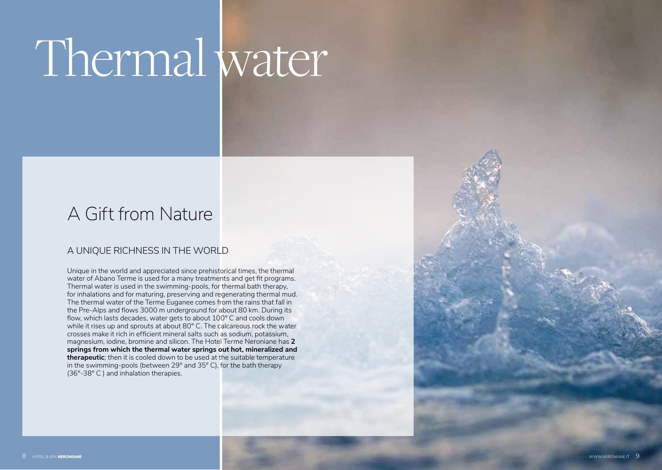# Thermal water

## A Gift from Nature

### A UNIQUE RICHNESS IN THE WORLD

Unique in the world and appreciated since prehistorical times, the thermal water of Abano Terme is used for a many treatments and get fit programs. Thermal water is used in the swimming-pools, for thermal bath therapy, for inhalations and for maturing, preserving and regenerating thermal mud. The thermal water of the Terme Euganee comes from the rains that fall in the Pre-Alps and flows 3000 m underground for about 80 km. During its flow, which lasts decades, water gets to about 100° C and cools down while it rises up and sprouts at about 80° C. The calcareous rock the water crosses make it rich in efficient mineral salts such as sodium, potassium, magnesium, iodine, bromine and silicon. The Hotel Terme Neroniane has **2 springs from which the thermal water springs out hot, mineralized and therapeutic**; then it is cooled down to be used at the suitable temperature in the swimming-pools (between 29° and 35° C), for the bath therapy (36°-38° C ) and inhalation therapies.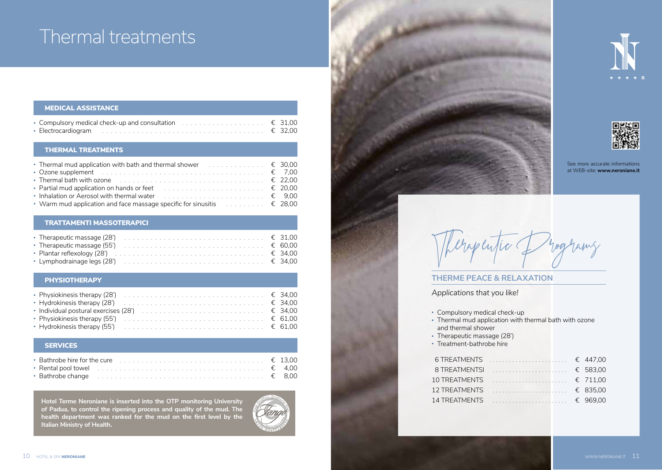## Thermal treatments

| MEDICAL ASSISTANCE                                                                            |  |
|-----------------------------------------------------------------------------------------------|--|
| • Compulsory medical check-up and consultation $\ldots \ldots \ldots \ldots \ldots \in 31,00$ |  |
|                                                                                               |  |

#### THERMAL TREATMENTS

| • Ozone supplement $\ldots \ldots \ldots \ldots \ldots \ldots \ldots \ldots \ldots \ldots \ldots \ldots \in 7,00$  |  |
|--------------------------------------------------------------------------------------------------------------------|--|
| • Thermal bath with ozone $\ldots \ldots \ldots \ldots \ldots \ldots \ldots \ldots \ldots \ldots \ldots \in 22.00$ |  |
| • Partial mud application on hands or feet $\ldots \ldots \ldots \ldots \ldots \ldots \ldots \in 20,00$            |  |
| • Inhalation or Aerosol with thermal water $\ldots \ldots \ldots \ldots \ldots \ldots \ldots \in 9.00$             |  |
| • Warm mud application and face massage specific for sinusitis $\ldots \ldots \ldots \in 28,00$                    |  |

#### TRATTAMENTI MASSOTERAPICI

| • Therapeutic massage (55') $\ldots \ldots \ldots \ldots \ldots \ldots \ldots \ldots \ldots \ldots \in 60,00$        |  |
|----------------------------------------------------------------------------------------------------------------------|--|
| • Plantar reflexology (28') $\ldots \ldots \ldots \ldots \ldots \ldots \ldots \ldots \ldots \ldots \ldots \in 34,00$ |  |
| • Lymphodrainage legs (28') $\ldots \ldots \ldots \ldots \ldots \ldots \ldots \ldots \ldots \ldots \in 34,00$        |  |

#### **PHYSIOTHERAPY**

| • Physiokinesis therapy (28') $\ldots \ldots \ldots \ldots \ldots \ldots \ldots \ldots \ldots \ldots \in 34.00$  |  |
|------------------------------------------------------------------------------------------------------------------|--|
|                                                                                                                  |  |
| • Individual postural exercises (28') $\ldots \ldots \ldots \ldots \ldots \ldots \ldots \ldots \ldots \in 34,00$ |  |
| • Physiokinesis therapy (55') $\ldots \ldots \ldots \ldots \ldots \ldots \ldots \ldots \ldots \ldots \in 61,00$  |  |
|                                                                                                                  |  |

#### **SERVICES**

| <b>Bathrobe hire for the cure</b> $\ldots \ldots \ldots \ldots \ldots \ldots \ldots \ldots \ldots \ldots \in 13,00$     |  |
|-------------------------------------------------------------------------------------------------------------------------|--|
| • Rental pool towel $\ldots \ldots \ldots \ldots \ldots \ldots \ldots \ldots \ldots \ldots \ldots \ldots \in$ 4,00      |  |
| • Bathrobe change $\ldots \ldots \ldots \ldots \ldots \ldots \ldots \ldots \ldots \ldots \ldots \ldots \ldots \in$ 8,00 |  |

**Hotel Terme Neroniane is inserted into the OTP monitoring University of Padua, to control the ripening process and quality of the mud. The health department was ranked for the mud on the first level by the Italian Ministry of Health.**









See more accurate informations at WEB-site: **www.neroniane.it**



#### **THERME PEACE & RELAXATION**

*Applications that you like!*

- Compulsory medical check-up
- Thermal mud application with thermal bath with ozone and thermal shower
- Therapeutic massage (28')
- Treatment-bathrobe hire

| 6 TREATMENTS  € 447.00  |  |
|-------------------------|--|
| 8 TREATMENTSI  € 583.00 |  |
|                         |  |
| 12 TREATMENTS  € 835.00 |  |
| 14 TREATMENTS  € 969.00 |  |
|                         |  |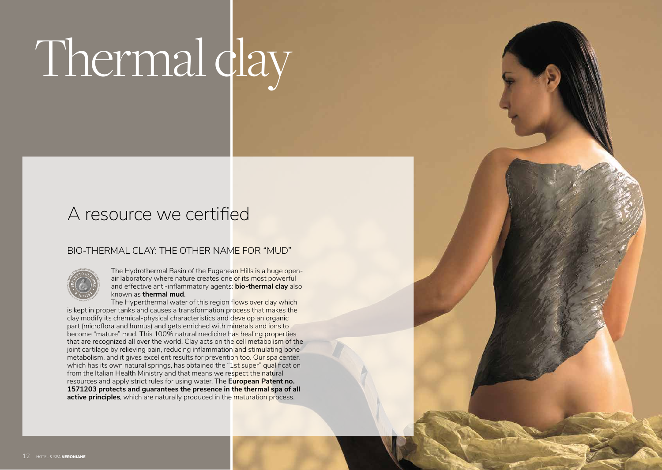# Thermal dlay

## A resource we certified

### BIO-THERMAL CLAY: THE OTHER NAME FOR "MUD"



The Hydrothermal Basin of the Euganean Hills is a huge openair laboratory where nature creates one of its most powerful and effective anti-inflammatory agents: **bio-thermal clay** also known as **thermal mud**.

The Hyperthermal water of this region flows over clay which is kept in proper tanks and causes a transformation process that makes the clay modify its chemical-physical characteristics and develop an organic part (microflora and humus) and gets enriched with minerals and ions to become "mature" mud. This 100% natural medicine has healing properties that are recognized all over the world. Clay acts on the cell metabolism of the joint cartilage by relieving pain, reducing inflammation and stimulating bone metabolism, and it gives excellent results for prevention too. Our spa center, which has its own natural springs, has obtained the "1st super" qualification from the Italian Health Ministry and that means we respect the natural resources and apply strict rules for using water. The **European Patent no. 1571203 protects and guarantees the presence in the thermal spa of all active principles**, which are naturally produced in the maturation process.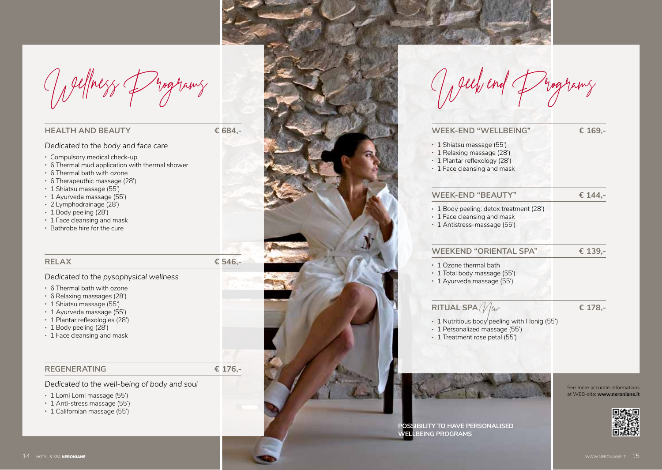Wellness Programs

#### **HEALTH AND BEAUTY € 684,-**

*Dedicated to the body and face care*

- Compulsory medical check-up
- 6 Thermal mud application with thermal shower
- 6 Thermal bath with ozone
- 6 Therapeuthic massage (28')
- 1 Shiatsu massage (55')
- 1 Ayurveda massage (55')
- 2 Lymphodrainage (28')
- 1 Body peeling (28')
- 1 Face cleansing and mask
- Bathrobe hire for the cure

#### **RELAX € 546,-**

#### *Dedicated to the pysophysical wellness*

- 6 Thermal bath with ozone
- 6 Relaxing massages (28')
- 1 Shiatsu massage (55')
- 1 Ayurveda massage (55')
- 1 Plantar reflexologies (28')
- 1 Body peeling (28')
- 1 Face cleansing and mask

#### **REGENERATING € 176,-**

#### *Dedicated to the well-being of body and soul*

- 1 Lomi Lomi massage (55')
- 1 Anti-stress massage (55')
- 1 Californian massage (55')



| ell, end                                                                                 |         |
|------------------------------------------------------------------------------------------|---------|
| <b>WEEK-END "WELLBEING"</b>                                                              | € 169,- |
| • 1 Shiatsu massage (55')<br>• 1 Relaxing massage (28')<br>• 1 Plantar reflexology (28') |         |

• 1 Face cleansing and mask

#### **WEEK-END "BEAUTY" € 144,-**

- 1 Body peeling: detox treatment (28')
- 1 Face cleansing and mask
- 1 Antistress-massage (55')

#### **WEEKEND "ORIENTAL SPA" € 139,-**

- 1 Ozone thermal bath
- 1 Total body massage (55')
- 1 Ayurveda massage (55')

#### **RITUAL SPA**  $\mathcal{N}_{\ell w}$  **€ 178,-**

- 
- 1 Nutritious body peeling with Honig (55')
- 1 Personalized massage (55')
- 1 Treatment rose petal (55')



See more accurate informations at WEB-site: **www.neroniane.it**

**POSSIBILITY TO HAVE PERSONALISED WELLBEING PROGRAMS**

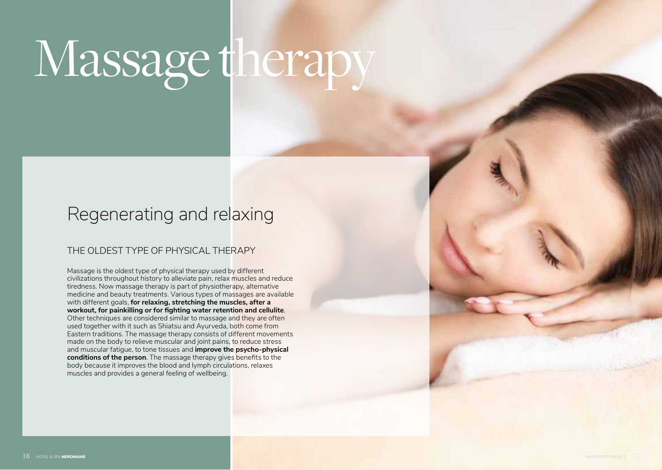# Massage therapy

## Regenerating and relaxing

### THE OLDEST TYPE OF PHYSICAL THERAPY

Massage is the oldest type of physical therapy used by different civilizations throughout history to alleviate pain, relax muscles and reduce tiredness. Now massage therapy is part of physiotherapy, alternative medicine and beauty treatments. Various types of massages are available with different goals, **for relaxing, stretching the muscles, after a workout, for painkilling or for fighting water retention and cellulite**. Other techniques are considered similar to massage and they are often used together with it such as Shiatsu and Ayurveda, both come from Eastern traditions. The massage therapy consists of different movements made on the body to relieve muscular and joint pains, to reduce stress and muscular fatigue, to tone tissues and **improve the psycho-physical conditions of the person**. The massage therapy gives benefits to the body because it improves the blood and lymph circulations, relaxes muscles and provides a general feeling of wellbeing.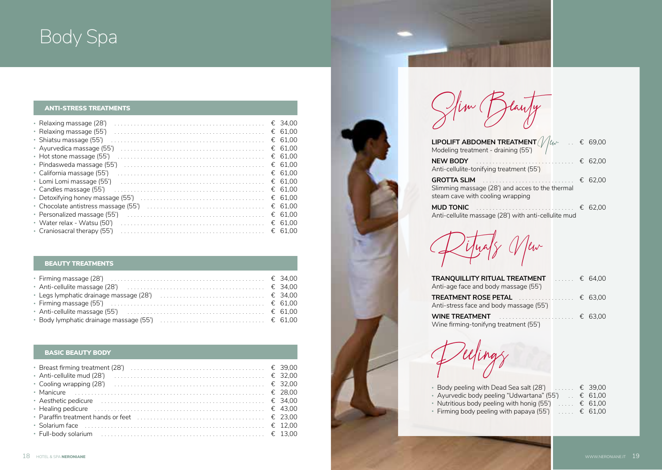## Body Spa

#### ANTI-STRESS TREATMENTS

| • Relaxing massage (28')     | € 34.00 |
|------------------------------|---------|
| • Relaxing massage (55')     | € 61.00 |
| · Shiatsu massage (55')      | € 61.00 |
| • Avurvedica massage (55')   | € 61.00 |
| • Hot stone massage (55')    | € 61.00 |
| • Pindasweda massage (55')   | € 61.00 |
| • California massage (55')   | € 61.00 |
| • Lomi Lomi massage (55')    | € 61.00 |
| • Candles massage (55')      | € 61.00 |
|                              | € 61.00 |
|                              | € 61.00 |
| • Personalized massage (55') | € 61.00 |
| • Water relax - Watsu (50')  | € 61.00 |
| • Craniosacral therapy (55') | € 61.00 |
|                              |         |

#### BEAUTY TREATMENTS

| • Body lymphatic drainage massage (55') $\ldots \ldots \ldots \ldots \ldots \ldots \ldots \ldots \in 61,00$ |  |  |
|-------------------------------------------------------------------------------------------------------------|--|--|

#### BASIC BEAUTY BODY

| • Aesthetic pedicure $\ldots \ldots \ldots \ldots \ldots \ldots \ldots \ldots \ldots \ldots \ldots \ldots \in 34,00$ |  |  |
|----------------------------------------------------------------------------------------------------------------------|--|--|
| E 43,00                                                                                                              |  |  |
| • Paraffin treatment hands or feet $\ldots, \ldots, \ldots, \ldots, \ldots, \ldots, \ldots, \in$ 23.00               |  |  |
|                                                                                                                      |  |  |
|                                                                                                                      |  |  |

Slim Beauty

| <b>LIPOLIFT ABDOMEN TREATMENT</b> $\frac{1}{\sqrt{\frac{1}{\omega}}}\dots \in 69,00$<br>Modeling treatment - draining (55') |         |
|-----------------------------------------------------------------------------------------------------------------------------|---------|
| <b>NEW BODY</b><br>Anti-cellulite-tonifying treatment (55')                                                                 | € 62.00 |
| <b>GROTTA SLIM</b><br>Slimming massage (28') and acces to the thermal<br>steam cave with cooling wrapping                   | € 62.00 |
| <b>MUD TONIC</b><br>Anti-cellulite massage (28') with anti-cellulite mud                                                    | € 62.00 |

Rituals New

| TRANQUILLITY RITUAL TREATMENT<br>Anti-age face and body massage (55')           | $\ldots$ $\in$ 64.00 |  |
|---------------------------------------------------------------------------------|----------------------|--|
| Anti-stress face and body massage (55')                                         |                      |  |
| <b>WINE TREATMENT</b> $\epsilon$ 63,00<br>Wine firming-tonifyng treatment (55') |                      |  |

lings

| • Body peeling with Dead Sea salt (28') $\ldots$ € 39,00 |                        |
|----------------------------------------------------------|------------------------|
| • Ayurvedic body peeling "Udwartana" (55')               | $\therefore \in 61.00$ |
| • Nutritious body peeling with honig (55')               | € 61.00                |
| • Firming body peeling with papaya (55')                 | € 61.00                |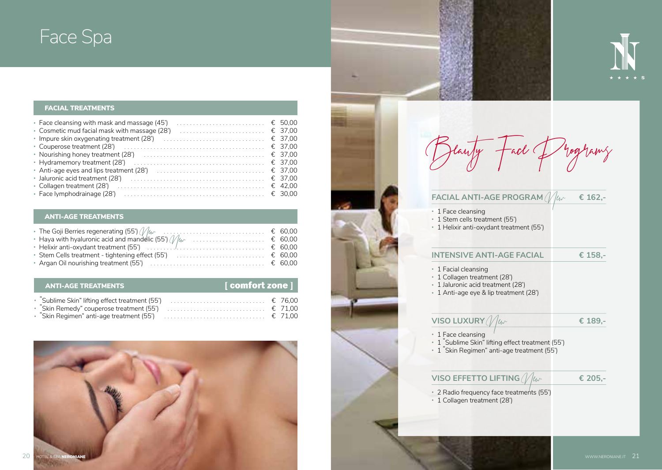## Face Spa

#### FACIAL TREATMENTS

| • Face cleansing with mask and massage (45')                                                                              |  |  |
|---------------------------------------------------------------------------------------------------------------------------|--|--|
|                                                                                                                           |  |  |
|                                                                                                                           |  |  |
|                                                                                                                           |  |  |
| • Nourishing honey treatment (28') $\ldots \ldots \ldots \ldots \ldots \ldots \ldots \ldots \ldots \in 37.00$             |  |  |
| • Hydramemory treatment (28') $\ldots \ldots \ldots \ldots \ldots \ldots \ldots \ldots \ldots \ldots \in 37.00$           |  |  |
|                                                                                                                           |  |  |
| • Jaluronic acid treatment (28') $\ldots \ldots \ldots \ldots \ldots \ldots \ldots \ldots \ldots \ldots \ldots \in 37.00$ |  |  |
|                                                                                                                           |  |  |
|                                                                                                                           |  |  |

#### ANTI-AGE TREATMENTS

#### [ comfort zone ] ANTI-AGE TREATMENTS • "Sublime Skin" lifting effect treatment (55') . € 76,00 • "Skin Remedy" couperose treatment (55') . € 71,00







#### **FACIAL ANTI-AGE PROGRAM**  $N_{\text{env}}$  **<b>€** 162,-

- 1 Face cleansing
- 1 Stem cells treatment (55')
- 1 Helixir anti-oxydant treatment (55')

#### **INTENSIVE ANTI-AGE FACIAL € 158,-**

- 1 Facial cleansing
- 1 Collagen treatment (28')
- 1 Jaluronic acid treatment (28')
- 1 Anti-age eye & lip treatment (28')

### $VISO LUXURY$   $\mathcal{N}$   $\mu$   $\epsilon$  **189,-**

- 1 Face cleansing
- 1 "Sublime Skin" lifting effect treatment (55')
- 1 "Skin Regimen" anti-age treatment (55')

#### **VISO EFFETTO LIFTING**  $\mathcal{N}_{\mathcal{U}\sim}$  **€** 205,-

- 2 Radio frequency face treatments (55')
- 1 Collagen treatment (28')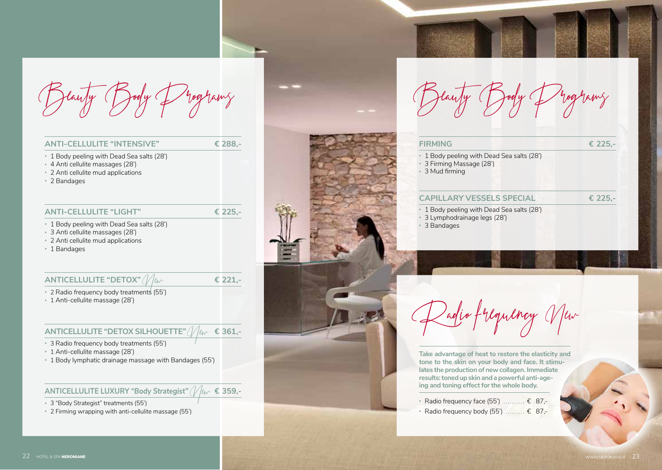

| <b>ANTI-CELLULITE "INTENSIVE"</b>                                                                                              | € 288.-                  |
|--------------------------------------------------------------------------------------------------------------------------------|--------------------------|
| 1 Body peeling with Dead Sea salts (28')<br>4 Anti cellulite massages (28')<br>2 Anti cellulite mud applications<br>2 Bandages |                          |
| <b>ANTI-CELLULITE "LIGHT"</b>                                                                                                  | € 225.-                  |
| 1 Body peeling with Dead Sea salts (28')<br>3 Anti cellulite massages (28')<br>2 Anti cellulite mud applications<br>1 Bandages |                          |
| ANTICELLULITE "DETOX"                                                                                                          | € 221.                   |
| 2 Radio frequency body treatments (55')<br>1 Anti-cellulite massage (28')                                                      |                          |
| <b>ITE "DETOX SILHOLIETTE"</b>                                                                                                 | $\mu_{\alpha}$ $\in$ 361 |

#### **ANTICELLULITE "DETOX SILHOUETTE"** *(VII)*

- 3 Radio frequency body treatments (55')
- 1 Anti-cellulite massage (28')
- 1 Body lymphatic drainage massage with Bandages (55')

#### **ANTICELLULITE LUXURY "Body Strategist"** (// $|/\mu$  € 359,-

- 3 "Body Strategist" treatments (55')
- 2 Firming wrapping with anti-cellulite massage (55')



#### **FIRMING € 225,-**

- 1 Body peeling with Dead Sea salts (28')
- 3 Firming Massage (28')
- 3 Mud firming

#### **CAPILLARY VESSELS SPECIAL € 225,-**

- 1 Body peeling with Dead Sea salts (28')
- 3 Lymphodrainage legs (28')
- 3 Bandages



**Take advantage of heat to restore the elasticity and tone to the skin on your body and face. It stimulates the production of new collagen. Immediate results: toned up skin and a powerful anti-ageing and toning effect for the whole body.**

- Radio frequency face (55')  $\ldots$   $\in$  87,-
- Radio frequency body (55')  $\ldots$   $\in$  87,-